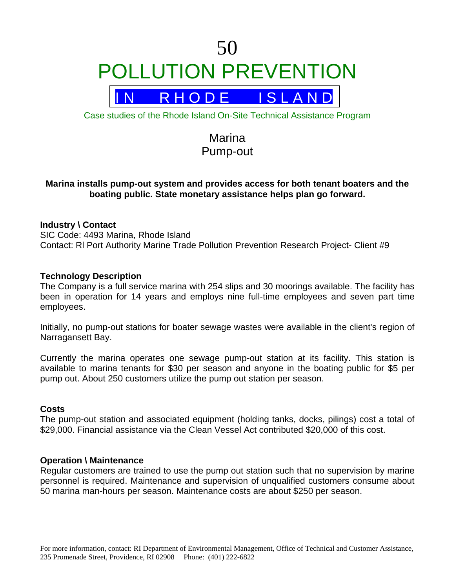# 50 POLLUTION PREVENTION

R H O D E I S L A N D

Case studies of the Rhode Island On-Site Technical Assistance Program

## Marina Pump-out

### **Marina installs pump-out system and provides access for both tenant boaters and the boating public. State monetary assistance helps plan go forward.**

#### **Industry \ Contact**

SIC Code: 4493 Marina, Rhode Island Contact: Rl Port Authority Marine Trade Pollution Prevention Research Project- Client #9

#### **Technology Description**

The Company is a full service marina with 254 slips and 30 moorings available. The facility has been in operation for 14 years and employs nine full-time employees and seven part time employees.

Initially, no pump-out stations for boater sewage wastes were available in the client's region of Narragansett Bay.

Currently the marina operates one sewage pump-out station at its facility. This station is available to marina tenants for \$30 per season and anyone in the boating public for \$5 per pump out. About 250 customers utilize the pump out station per season.

#### **Costs**

The pump-out station and associated equipment (holding tanks, docks, pilings) cost a total of \$29,000. Financial assistance via the Clean Vessel Act contributed \$20,000 of this cost.

#### **Operation \ Maintenance**

Regular customers are trained to use the pump out station such that no supervision by marine personnel is required. Maintenance and supervision of unqualified customers consume about 50 marina man-hours per season. Maintenance costs are about \$250 per season.